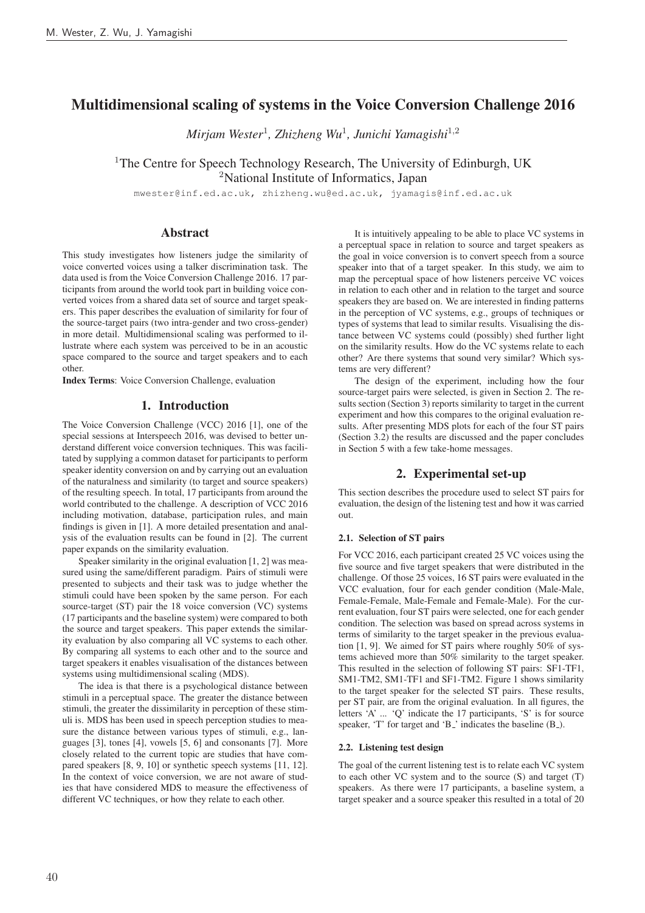# Multidimensional scaling of systems in the Voice Conversion Challenge 2016

*Mirjam Wester*<sup>1</sup>*, Zhizheng Wu*<sup>1</sup>*, Junichi Yamagishi*<sup>1</sup>,<sup>2</sup>

<sup>1</sup>The Centre for Speech Technology Research, The University of Edinburgh, UK <sup>2</sup>National Institute of Informatics, Japan

mwester@inf.ed.ac.uk, zhizheng.wu@ed.ac.uk, jyamagis@inf.ed.ac.uk

# Abstract

This study investigates how listeners judge the similarity of voice converted voices using a talker discrimination task. The data used is from the Voice Conversion Challenge 2016. 17 participants from around the world took part in building voice converted voices from a shared data set of source and target speakers. This paper describes the evaluation of similarity for four of the source-target pairs (two intra-gender and two cross-gender) in more detail. Multidimensional scaling was performed to illustrate where each system was perceived to be in an acoustic space compared to the source and target speakers and to each other.

Index Terms: Voice Conversion Challenge, evaluation

## 1. Introduction

The Voice Conversion Challenge (VCC) 2016 [1], one of the special sessions at Interspeech 2016, was devised to better understand different voice conversion techniques. This was facilitated by supplying a common dataset for participants to perform speaker identity conversion on and by carrying out an evaluation of the naturalness and similarity (to target and source speakers) of the resulting speech. In total, 17 participants from around the world contributed to the challenge. A description of VCC 2016 including motivation, database, participation rules, and main findings is given in [1]. A more detailed presentation and analysis of the evaluation results can be found in [2]. The current paper expands on the similarity evaluation.

Speaker similarity in the original evaluation [1, 2] was measured using the same/different paradigm. Pairs of stimuli were presented to subjects and their task was to judge whether the stimuli could have been spoken by the same person. For each source-target (ST) pair the 18 voice conversion (VC) systems (17 participants and the baseline system) were compared to both the source and target speakers. This paper extends the similarity evaluation by also comparing all VC systems to each other. By comparing all systems to each other and to the source and target speakers it enables visualisation of the distances between systems using multidimensional scaling (MDS).

The idea is that there is a psychological distance between stimuli in a perceptual space. The greater the distance between stimuli, the greater the dissimilarity in perception of these stimuli is. MDS has been used in speech perception studies to measure the distance between various types of stimuli, e.g., languages [3], tones [4], vowels [5, 6] and consonants [7]. More closely related to the current topic are studies that have compared speakers [8, 9, 10] or synthetic speech systems [11, 12]. In the context of voice conversion, we are not aware of studies that have considered MDS to measure the effectiveness of different VC techniques, or how they relate to each other.

It is intuitively appealing to be able to place VC systems in a perceptual space in relation to source and target speakers as the goal in voice conversion is to convert speech from a source speaker into that of a target speaker. In this study, we aim to map the perceptual space of how listeners perceive VC voices in relation to each other and in relation to the target and source speakers they are based on. We are interested in finding patterns in the perception of VC systems, e.g., groups of techniques or types of systems that lead to similar results. Visualising the distance between VC systems could (possibly) shed further light on the similarity results. How do the VC systems relate to each other? Are there systems that sound very similar? Which systems are very different?

The design of the experiment, including how the four source-target pairs were selected, is given in Section 2. The results section (Section 3) reports similarity to target in the current experiment and how this compares to the original evaluation results. After presenting MDS plots for each of the four ST pairs (Section 3.2) the results are discussed and the paper concludes in Section 5 with a few take-home messages.

# 2. Experimental set-up

This section describes the procedure used to select ST pairs for evaluation, the design of the listening test and how it was carried out.

#### 2.1. Selection of ST pairs

For VCC 2016, each participant created 25 VC voices using the five source and five target speakers that were distributed in the challenge. Of those 25 voices, 16 ST pairs were evaluated in the VCC evaluation, four for each gender condition (Male-Male, Female-Female, Male-Female and Female-Male). For the current evaluation, four ST pairs were selected, one for each gender condition. The selection was based on spread across systems in terms of similarity to the target speaker in the previous evaluation [1, 9]. We aimed for ST pairs where roughly 50% of systems achieved more than 50% similarity to the target speaker. This resulted in the selection of following ST pairs: SF1-TF1, SM1-TM2, SM1-TF1 and SF1-TM2. Figure 1 shows similarity to the target speaker for the selected ST pairs. These results, per ST pair, are from the original evaluation. In all figures, the letters 'A' ... 'Q' indicate the 17 participants, 'S' is for source speaker, 'T' for target and 'B<sub>-</sub>' indicates the baseline (B<sub>-</sub>).

#### 2.2. Listening test design

The goal of the current listening test is to relate each VC system to each other VC system and to the source (S) and target (T) speakers. As there were 17 participants, a baseline system, a target speaker and a source speaker this resulted in a total of 20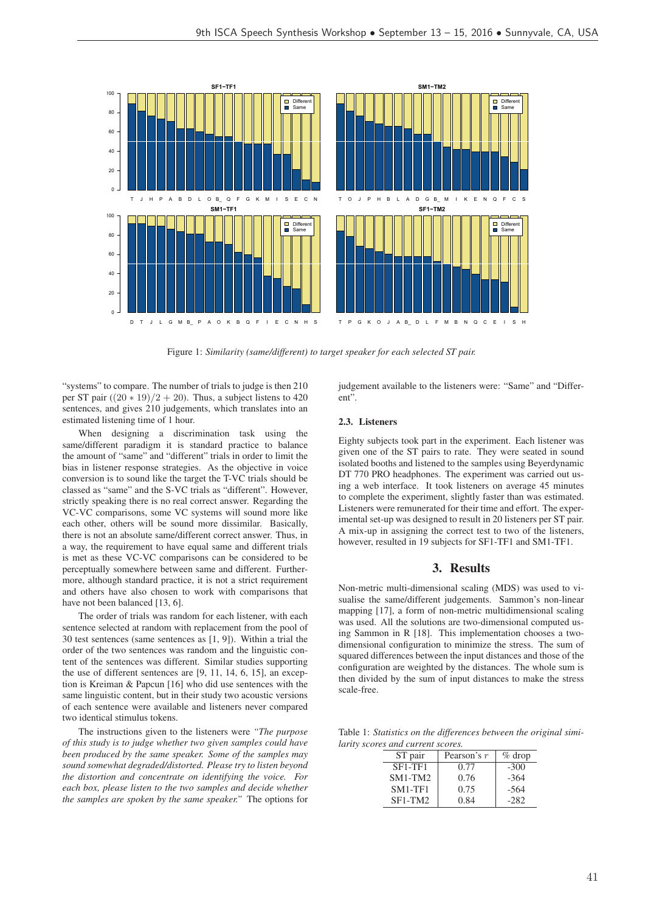

Figure 1: *Similarity (same/different) to target speaker for each selected ST pair.*

"systems" to compare. The number of trials to judge is then 210 per ST pair  $((20 * 19)/2 + 20)$ . Thus, a subject listens to 420 sentences, and gives 210 judgements, which translates into an estimated listening time of 1 hour.

When designing a discrimination task using the same/different paradigm it is standard practice to balance the amount of "same" and "different" trials in order to limit the bias in listener response strategies. As the objective in voice conversion is to sound like the target the T-VC trials should be classed as "same" and the S-VC trials as "different". However, strictly speaking there is no real correct answer. Regarding the VC-VC comparisons, some VC systems will sound more like each other, others will be sound more dissimilar. Basically, there is not an absolute same/different correct answer. Thus, in a way, the requirement to have equal same and different trials is met as these VC-VC comparisons can be considered to be perceptually somewhere between same and different. Furthermore, although standard practice, it is not a strict requirement and others have also chosen to work with comparisons that have not been balanced [13, 6].

The order of trials was random for each listener, with each sentence selected at random with replacement from the pool of 30 test sentences (same sentences as [1, 9]). Within a trial the order of the two sentences was random and the linguistic content of the sentences was different. Similar studies supporting the use of different sentences are [9, 11, 14, 6, 15], an exception is Kreiman & Papcun [16] who did use sentences with the same linguistic content, but in their study two acoustic versions of each sentence were available and listeners never compared two identical stimulus tokens.

The instructions given to the listeners were *"The purpose of this study is to judge whether two given samples could have been produced by the same speaker. Some of the samples may sound somewhat degraded/distorted. Please try to listen beyond the distortion and concentrate on identifying the voice. For each box, please listen to the two samples and decide whether the samples are spoken by the same speaker."* The options for judgement available to the listeners were: "Same" and "Different".

#### 2.3. Listeners

Eighty subjects took part in the experiment. Each listener was given one of the ST pairs to rate. They were seated in sound isolated booths and listened to the samples using Beyerdynamic DT 770 PRO headphones. The experiment was carried out using a web interface. It took listeners on average 45 minutes to complete the experiment, slightly faster than was estimated. Listeners were remunerated for their time and effort. The experimental set-up was designed to result in 20 listeners per ST pair. A mix-up in assigning the correct test to two of the listeners, however, resulted in 19 subjects for SF1-TF1 and SM1-TF1.

## 3. Results

Non-metric multi-dimensional scaling (MDS) was used to visualise the same/different judgements. Sammon's non-linear mapping [17], a form of non-metric multidimensional scaling was used. All the solutions are two-dimensional computed using Sammon in R [18]. This implementation chooses a twodimensional configuration to minimize the stress. The sum of squared differences between the input distances and those of the configuration are weighted by the distances. The whole sum is then divided by the sum of input distances to make the stress scale-free.

Table 1: *Statistics on the differences between the original similarity scores and current scores.*

| ST pair        | Pearson's $r$ | $\%$ drop |  |
|----------------|---------------|-----------|--|
| $SF1-TF1$      | 0.77          | $-300$    |  |
| <b>SM1-TM2</b> | 0.76          | $-364$    |  |
| $SM1-TF1$      | 0.75          | $-564$    |  |
| $SF1-TM2$      | 0.84          | $-282$    |  |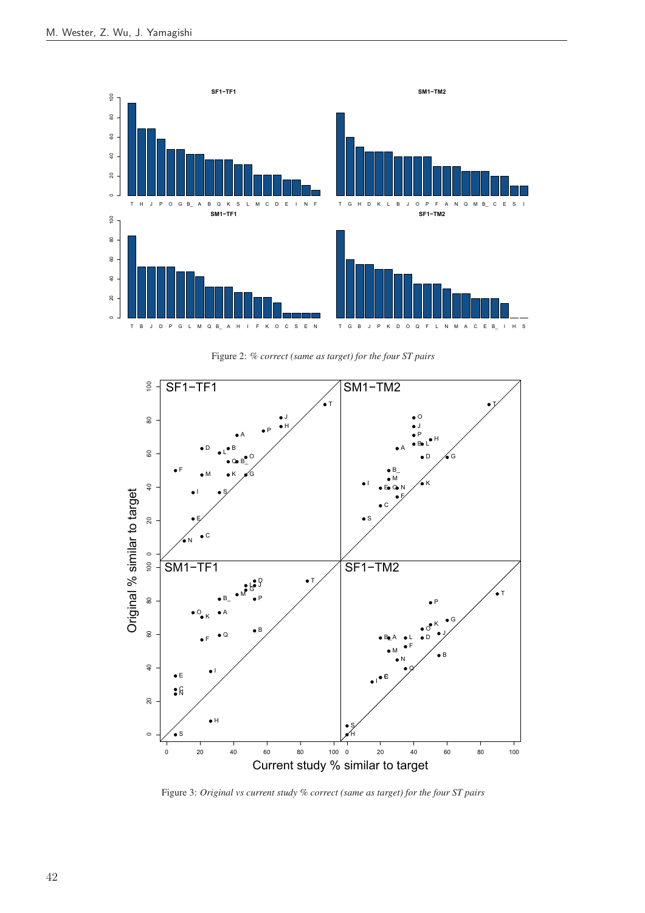

Figure 2: *% correct (same as target) for the four ST pairs*



Figure 3: *Original vs current study % correct (same as target) for the four ST pairs*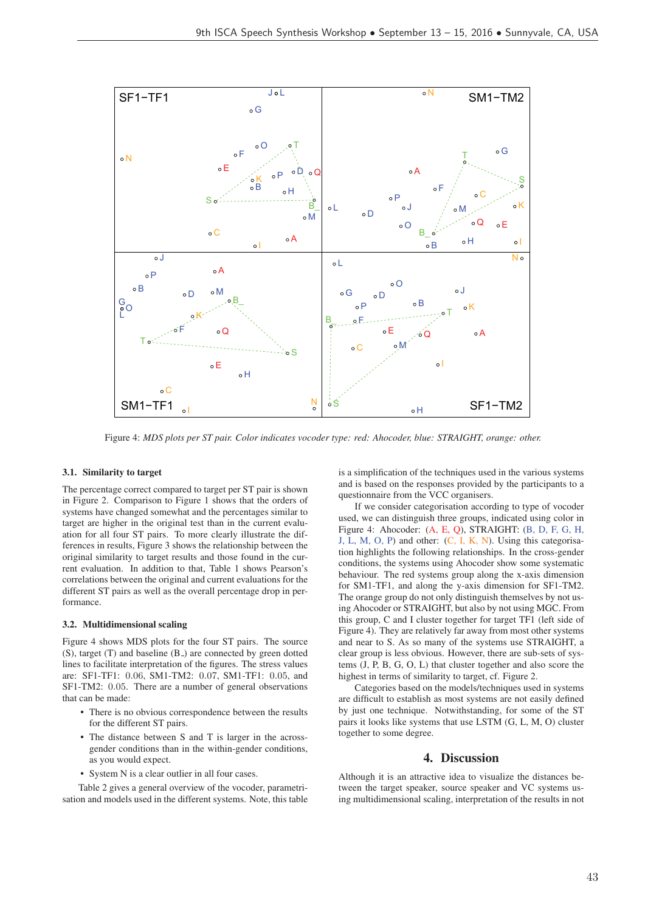

Figure 4: *MDS plots per ST pair. Color indicates vocoder type: red: Ahocoder, blue: STRAIGHT, orange: other.*

#### 3.1. Similarity to target

The percentage correct compared to target per ST pair is shown in Figure 2. Comparison to Figure 1 shows that the orders of systems have changed somewhat and the percentages similar to target are higher in the original test than in the current evaluation for all four ST pairs. To more clearly illustrate the differences in results, Figure 3 shows the relationship between the original similarity to target results and those found in the current evaluation. In addition to that, Table 1 shows Pearson's correlations between the original and current evaluations for the different ST pairs as well as the overall percentage drop in performance.

#### 3.2. Multidimensional scaling

Figure 4 shows MDS plots for the four ST pairs. The source (S), target (T) and baseline (B<sub>-</sub>) are connected by green dotted lines to facilitate interpretation of the figures. The stress values are: SF1-TF1: 0.06, SM1-TM2: 0.07, SM1-TF1: 0.05, and SF1-TM2: 0.05. There are a number of general observations that can be made:

- There is no obvious correspondence between the results for the different ST pairs.
- The distance between S and T is larger in the acrossgender conditions than in the within-gender conditions, as you would expect.
- System N is a clear outlier in all four cases.

Table 2 gives a general overview of the vocoder, parametrisation and models used in the different systems. Note, this table is a simplification of the techniques used in the various systems and is based on the responses provided by the participants to a questionnaire from the VCC organisers.

If we consider categorisation according to type of vocoder used, we can distinguish three groups, indicated using color in Figure 4: Ahocoder: (A, E, Q), STRAIGHT: (B, D, F, G, H, J, L, M, O, P) and other: (C, I, K, N). Using this categorisation highlights the following relationships. In the cross-gender conditions, the systems using Ahocoder show some systematic behaviour. The red systems group along the x-axis dimension for SM1-TF1, and along the y-axis dimension for SF1-TM2. The orange group do not only distinguish themselves by not using Ahocoder or STRAIGHT, but also by not using MGC. From this group, C and I cluster together for target TF1 (left side of Figure 4). They are relatively far away from most other systems and near to S. As so many of the systems use STRAIGHT, a clear group is less obvious. However, there are sub-sets of systems (J, P, B, G, O, L) that cluster together and also score the highest in terms of similarity to target, cf. Figure 2.

Categories based on the models/techniques used in systems are difficult to establish as most systems are not easily defined by just one technique. Notwithstanding, for some of the ST pairs it looks like systems that use LSTM (G, L, M, O) cluster together to some degree.

# 4. Discussion

Although it is an attractive idea to visualize the distances between the target speaker, source speaker and VC systems using multidimensional scaling, interpretation of the results in not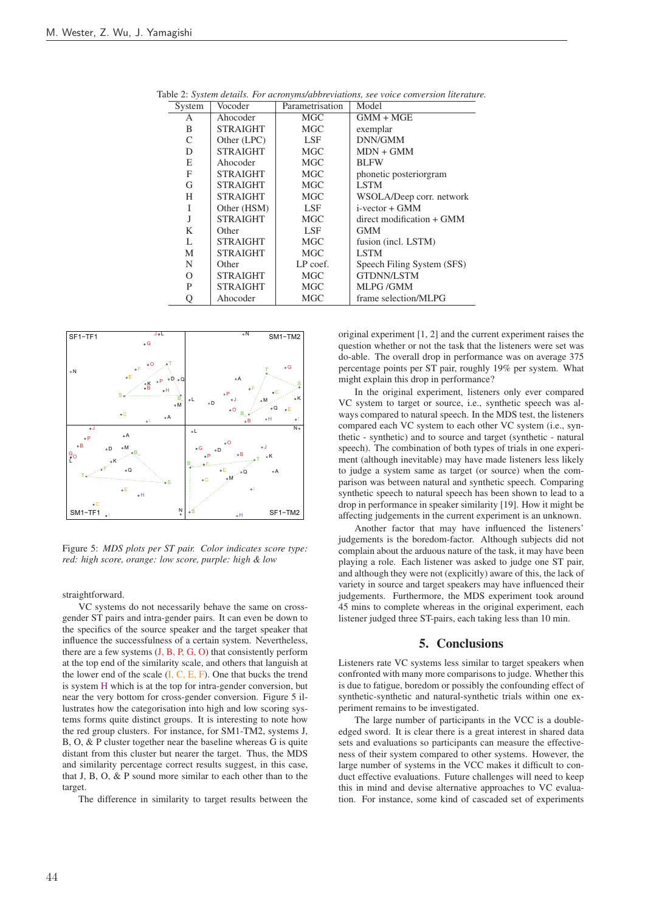| System   | Vocoder         | Parametrisation | Model                      |
|----------|-----------------|-----------------|----------------------------|
| A        | Ahocoder        | MGC.            | $GMM + MGE$                |
| B        | <b>STRAIGHT</b> | MGC             | exemplar                   |
| C        | Other (LPC)     | LSF             | DNN/GMM                    |
| D        | <b>STRAIGHT</b> | <b>MGC</b>      | $MDN + GMM$                |
| E        | Ahocoder        | <b>MGC</b>      | <b>BLFW</b>                |
| F        | <b>STRAIGHT</b> | MGC.            | phonetic posteriorgram     |
| G        | <b>STRAIGHT</b> | MGC.            | <b>LSTM</b>                |
| H        | <b>STRAIGHT</b> | <b>MGC</b>      | WSOLA/Deep corr. network   |
| T        | Other (HSM)     | LSF             | $i$ -vector + $GMM$        |
| J        | <b>STRAIGHT</b> | MGC.            | direct modification + GMM  |
| K        | Other           | LSF             | <b>GMM</b>                 |
| L        | <b>STRAIGHT</b> | <b>MGC</b>      | fusion (incl. LSTM)        |
| M        | <b>STRAIGHT</b> | <b>MGC</b>      | <b>LSTM</b>                |
| N        | Other           | LP coef.        | Speech Filing System (SFS) |
| $\Omega$ | <b>STRAIGHT</b> | MGC             | <b>GTDNN/LSTM</b>          |
| P        | <b>STRAIGHT</b> | MGC             | <b>MLPG/GMM</b>            |
|          | Ahocoder        | MGC             | frame selection/MLPG       |

Table 2: *System details. For acronyms/abbreviations, see voice conversion literature.*



Figure 5: *MDS plots per ST pair. Color indicates score type: red: high score, orange: low score, purple: high & low*

straightforward.

VC systems do not necessarily behave the same on crossgender ST pairs and intra-gender pairs. It can even be down to the specifics of the source speaker and the target speaker that influence the successfulness of a certain system. Nevertheless, there are a few systems  $(J, B, P, G, O)$  that consistently perform at the top end of the similarity scale, and others that languish at the lower end of the scale  $(I, C, E, F)$ . One that bucks the trend is system H which is at the top for intra-gender conversion, but near the very bottom for cross-gender conversion. Figure 5 illustrates how the categorisation into high and low scoring systems forms quite distinct groups. It is interesting to note how the red group clusters. For instance, for SM1-TM2, systems J, B, O, & P cluster together near the baseline whereas G is quite distant from this cluster but nearer the target. Thus, the MDS and similarity percentage correct results suggest, in this case, that J, B, O, & P sound more similar to each other than to the target.

The difference in similarity to target results between the

original experiment [1, 2] and the current experiment raises the question whether or not the task that the listeners were set was do-able. The overall drop in performance was on average 375 percentage points per ST pair, roughly 19% per system. What might explain this drop in performance?

In the original experiment, listeners only ever compared VC system to target or source, i.e., synthetic speech was always compared to natural speech. In the MDS test, the listeners compared each VC system to each other VC system (i.e., synthetic - synthetic) and to source and target (synthetic - natural speech). The combination of both types of trials in one experiment (although inevitable) may have made listeners less likely to judge a system same as target (or source) when the comparison was between natural and synthetic speech. Comparing synthetic speech to natural speech has been shown to lead to a drop in performance in speaker similarity [19]. How it might be affecting judgements in the current experiment is an unknown.

Another factor that may have influenced the listeners' judgements is the boredom-factor. Although subjects did not complain about the arduous nature of the task, it may have been playing a role. Each listener was asked to judge one ST pair, and although they were not (explicitly) aware of this, the lack of variety in source and target speakers may have influenced their judgements. Furthermore, the MDS experiment took around 45 mins to complete whereas in the original experiment, each listener judged three ST-pairs, each taking less than 10 min.

### 5. Conclusions

Listeners rate VC systems less similar to target speakers when confronted with many more comparisons to judge. Whether this is due to fatigue, boredom or possibly the confounding effect of synthetic-synthetic and natural-synthetic trials within one experiment remains to be investigated.

The large number of participants in the VCC is a doubleedged sword. It is clear there is a great interest in shared data sets and evaluations so participants can measure the effectiveness of their system compared to other systems. However, the large number of systems in the VCC makes it difficult to conduct effective evaluations. Future challenges will need to keep this in mind and devise alternative approaches to VC evaluation. For instance, some kind of cascaded set of experiments